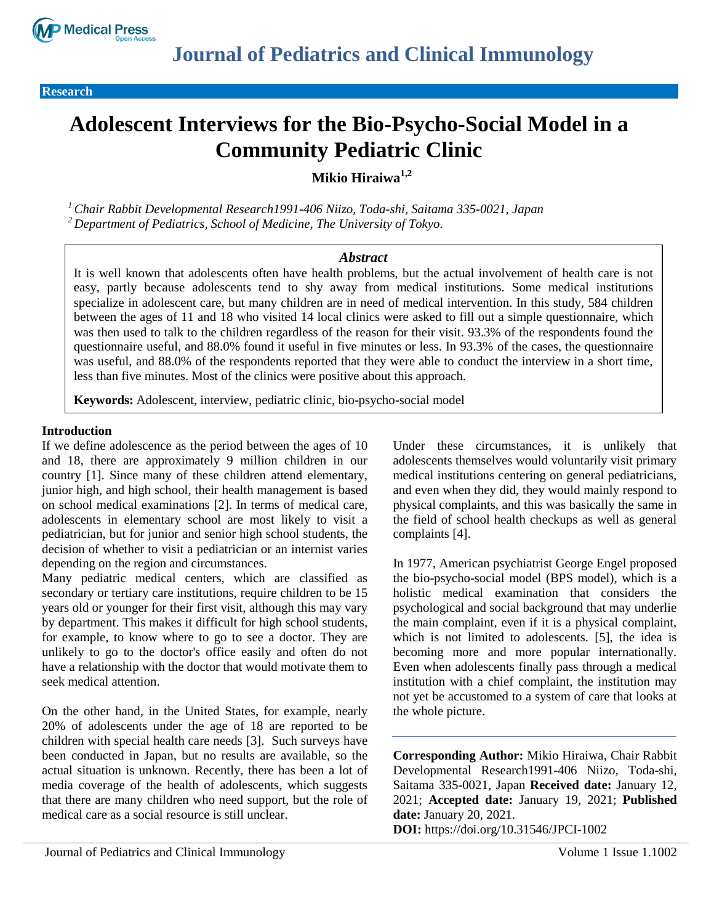

**Research** 

# **Adolescent Interviews for the Bio-Psycho-Social Model in a Community Pediatric Clinic**

**Mikio Hiraiwa1,2**

*<sup>1</sup>Chair Rabbit Developmental Research1991-406 Niizo, Toda-shi, Saitama 335-0021, Japan <sup>2</sup> Department of Pediatrics, School of Medicine, The University of Tokyo.*

# *Abstract*

It is well known that adolescents often have health problems, but the actual involvement of health care is not easy, partly because adolescents tend to shy away from medical institutions. Some medical institutions specialize in adolescent care, but many children are in need of medical intervention. In this study, 584 children between the ages of 11 and 18 who visited 14 local clinics were asked to fill out a simple questionnaire, which was then used to talk to the children regardless of the reason for their visit. 93.3% of the respondents found the questionnaire useful, and 88.0% found it useful in five minutes or less. In 93.3% of the cases, the questionnaire was useful, and 88.0% of the respondents reported that they were able to conduct the interview in a short time, less than five minutes. Most of the clinics were positive about this approach.

**Keywords:** Adolescent, interview, pediatric clinic, bio-psycho-social model

# **Introduction**

If we define adolescence as the period between the ages of 10 and 18, there are approximately 9 million children in our country [1]. Since many of these children attend elementary, junior high, and high school, their health management is based on school medical examinations [2]. In terms of medical care, adolescents in elementary school are most likely to visit a pediatrician, but for junior and senior high school students, the decision of whether to visit a pediatrician or an internist varies depending on the region and circumstances.

Many pediatric medical centers, which are classified as secondary or tertiary care institutions, require children to be 15 years old or younger for their first visit, although this may vary by department. This makes it difficult for high school students, for example, to know where to go to see a doctor. They are unlikely to go to the doctor's office easily and often do not have a relationship with the doctor that would motivate them to seek medical attention.

On the other hand, in the United States, for example, nearly 20% of adolescents under the age of 18 are reported to be children with special health care needs [3]. Such surveys have been conducted in Japan, but no results are available, so the actual situation is unknown. Recently, there has been a lot of media coverage of the health of adolescents, which suggests that there are many children who need support, but the role of medical care as a social resource is still unclear.

Under these circumstances, it is unlikely that adolescents themselves would voluntarily visit primary medical institutions centering on general pediatricians, and even when they did, they would mainly respond to physical complaints, and this was basically the same in the field of school health checkups as well as general complaints [4].

In 1977, American psychiatrist George Engel proposed the bio-psycho-social model (BPS model), which is a holistic medical examination that considers the psychological and social background that may underlie the main complaint, even if it is a physical complaint, which is not limited to adolescents. [5], the idea is becoming more and more popular internationally. Even when adolescents finally pass through a medical institution with a chief complaint, the institution may not yet be accustomed to a system of care that looks at the whole picture.

**Corresponding Author:** Mikio Hiraiwa, Chair Rabbit Developmental Research1991-406 Niizo, Toda-shi, Saitama 335-0021, Japan **Received date:** January 12, 2021; **Accepted date:** January 19, 2021; **Published date:** January 20, 2021. **DOI:** https://doi.org/10.31546/JPCI-1002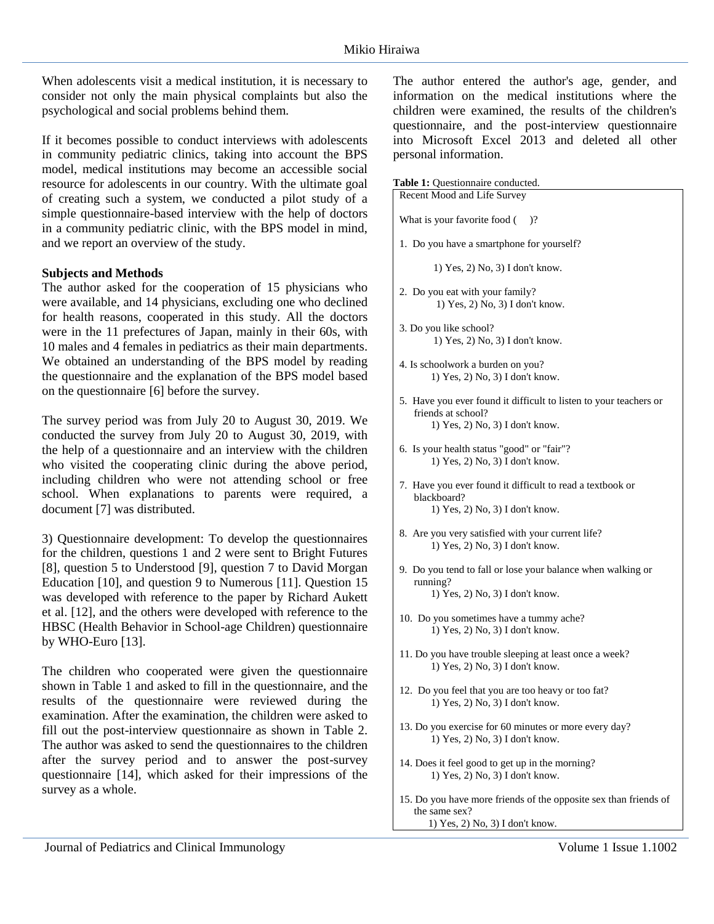When adolescents visit a medical institution, it is necessary to consider not only the main physical complaints but also the psychological and social problems behind them.

If it becomes possible to conduct interviews with adolescents in community pediatric clinics, taking into account the BPS model, medical institutions may become an accessible social resource for adolescents in our country. With the ultimate goal of creating such a system, we conducted a pilot study of a simple questionnaire-based interview with the help of doctors in a community pediatric clinic, with the BPS model in mind, and we report an overview of the study.

## **Subjects and Methods**

The author asked for the cooperation of 15 physicians who were available, and 14 physicians, excluding one who declined for health reasons, cooperated in this study. All the doctors were in the 11 prefectures of Japan, mainly in their 60s, with 10 males and 4 females in pediatrics as their main departments. We obtained an understanding of the BPS model by reading the questionnaire and the explanation of the BPS model based on the questionnaire [6] before the survey.

The survey period was from July 20 to August 30, 2019. We conducted the survey from July 20 to August 30, 2019, with the help of a questionnaire and an interview with the children who visited the cooperating clinic during the above period, including children who were not attending school or free school. When explanations to parents were required, a document [7] was distributed.

3) Questionnaire development: To develop the questionnaires for the children, questions 1 and 2 were sent to Bright Futures [8], question 5 to Understood [9], question 7 to David Morgan Education [10], and question 9 to Numerous [11]. Question 15 was developed with reference to the paper by Richard Aukett et al. [12], and the others were developed with reference to the HBSC (Health Behavior in School-age Children) questionnaire by WHO-Euro [13].

The children who cooperated were given the questionnaire shown in Table 1 and asked to fill in the questionnaire, and the results of the questionnaire were reviewed during the examination. After the examination, the children were asked to fill out the post-interview questionnaire as shown in Table 2. The author was asked to send the questionnaires to the children after the survey period and to answer the post-survey questionnaire [14], which asked for their impressions of the survey as a whole.

The author entered the author's age, gender, and information on the medical institutions where the children were examined, the results of the children's questionnaire, and the post-interview questionnaire into Microsoft Excel 2013 and deleted all other personal information.

**Table 1:** Questionnaire conducted.

| <b>radic 1.</b> Questionnane conducted.                                                                                    |
|----------------------------------------------------------------------------------------------------------------------------|
| Recent Mood and Life Survey                                                                                                |
| What is your favorite food $($ )?                                                                                          |
| 1. Do you have a smartphone for yourself?                                                                                  |
| $1)$ Yes, $2)$ No, $3)$ I don't know.                                                                                      |
| 2. Do you eat with your family?<br>1) Yes, 2) No, 3) I don't know.                                                         |
| 3. Do you like school?<br>1) Yes, 2) No, 3) I don't know.                                                                  |
| 4. Is schoolwork a burden on you?<br>1) Yes, 2) No, 3) I don't know.                                                       |
| 5. Have you ever found it difficult to listen to your teachers or<br>friends at school?<br>1) Yes, 2) No, 3) I don't know. |
| 6. Is your health status "good" or "fair"?<br>1) Yes, 2) No, 3) I don't know.                                              |
| 7. Have you ever found it difficult to read a textbook or<br>blackboard?<br>1) Yes, 2) No, 3) I don't know.                |
| 8. Are you very satisfied with your current life?<br>1) Yes, 2) No, 3) I don't know.                                       |
| 9. Do you tend to fall or lose your balance when walking or<br>running?<br>1) Yes, 2) No, 3) I don't know.                 |
| 10. Do you sometimes have a tummy ache?<br>1) Yes, 2) No, 3) I don't know.                                                 |
| 11. Do you have trouble sleeping at least once a week?<br>1) Yes, 2) No, 3) I don't know.                                  |
| 12. Do you feel that you are too heavy or too fat?<br>1) Yes, 2) No, 3) I don't know.                                      |
| 13. Do you exercise for 60 minutes or more every day?<br>1) Yes, 2) No, 3) I don't know.                                   |
| 14. Does it feel good to get up in the morning?<br>1) Yes, 2) No, 3) I don't know.                                         |
| 15. Do you have more friends of the opposite sex than friends of<br>the same sex?                                          |

1) Yes, 2) No, 3) I don't know.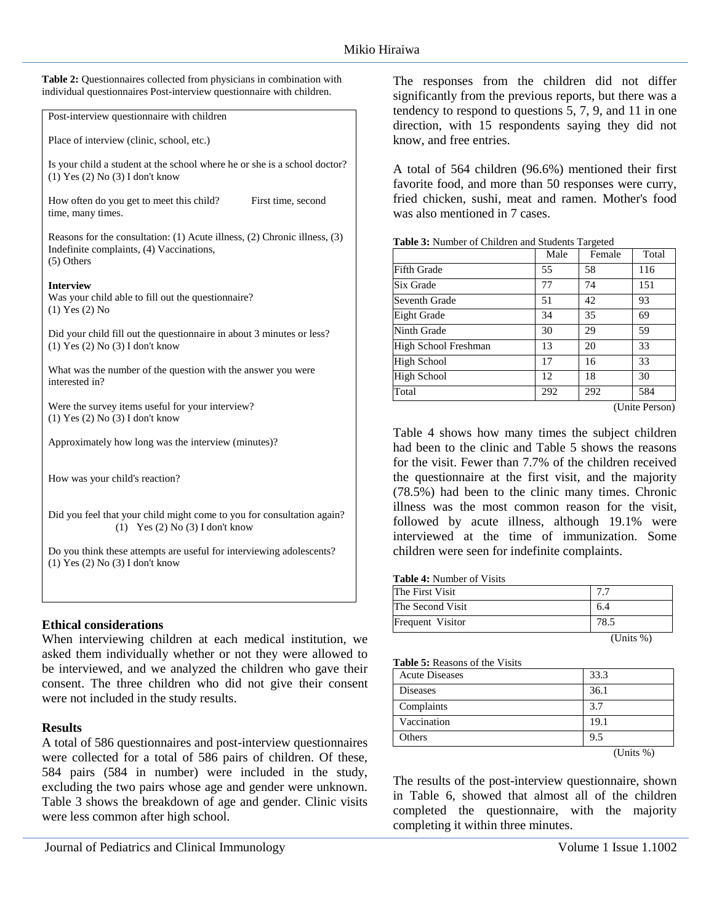**Table 2:** Questionnaires collected from physicians in combination with individual questionnaires Post-interview questionnaire with children.

Post-interview questionnaire with children

Place of interview (clinic, school, etc.)

Is your child a student at the school where he or she is a school doctor? (1) Yes (2) No (3) I don't know

How often do you get to meet this child? First time, second time, many times.

Reasons for the consultation: (1) Acute illness, (2) Chronic illness, (3) Indefinite complaints, (4) Vaccinations, (5) Others

## **Interview**

Was your child able to fill out the questionnaire? (1) Yes (2) No

Did your child fill out the questionnaire in about 3 minutes or less? (1) Yes (2) No (3) I don't know

What was the number of the question with the answer you were interested in?

Were the survey items useful for your interview? (1) Yes (2) No (3) I don't know

Approximately how long was the interview (minutes)?

How was your child's reaction?

Did you feel that your child might come to you for consultation again? (1) Yes (2) No (3) I don't know

Do you think these attempts are useful for interviewing adolescents? (1) Yes (2) No (3) I don't know

# **Ethical considerations**

When interviewing children at each medical institution, we asked them individually whether or not they were allowed to be interviewed, and we analyzed the children who gave their consent. The three children who did not give their consent were not included in the study results.

## **Results**

A total of 586 questionnaires and post-interview questionnaires were collected for a total of 586 pairs of children. Of these, 584 pairs (584 in number) were included in the study, excluding the two pairs whose age and gender were unknown. Table 3 shows the breakdown of age and gender. Clinic visits were less common after high school.

The responses from the children did not differ significantly from the previous reports, but there was a tendency to respond to questions 5, 7, 9, and 11 in one direction, with 15 respondents saying they did not know, and free entries.

A total of 564 children (96.6%) mentioned their first favorite food, and more than 50 responses were curry, fried chicken, sushi, meat and ramen. Mother's food was also mentioned in 7 cases.

|                              | Male | Female | Total |
|------------------------------|------|--------|-------|
| <b>Fifth Grade</b>           | 55   | 58     | 116   |
| Six Grade                    | 77   | 74     | 151   |
| Seventh Grade                | 51   | 42     | 93    |
| Eight Grade                  | 34   | 35     | 69    |
| Ninth Grade                  | 30   | 29     | 59    |
| High School Freshman         | 13   | 20     | 33    |
| High School                  | 17   | 16     | 33    |
| High School                  | 12   | 18     | 30    |
| Total                        | 292  | 292    | 584   |
| (I <sub>finite</sub> Person) |      |        |       |

**Table 3:** Number of Children and Students Targeted

(Unite Person)

Table 4 shows how many times the subject children had been to the clinic and Table 5 shows the reasons for the visit. Fewer than 7.7% of the children received the questionnaire at the first visit, and the majority (78.5%) had been to the clinic many times. Chronic illness was the most common reason for the visit, followed by acute illness, although 19.1% were interviewed at the time of immunization. Some children were seen for indefinite complaints.

#### **Table 4:** Number of Visits

| The First Visit  |                                                                   |
|------------------|-------------------------------------------------------------------|
| The Second Visit | 6.4                                                               |
| Frequent Visitor | 78.5                                                              |
|                  | $\sqrt{1}$ $\sqrt{1}$ $\sqrt{1}$ $\sqrt{1}$ $\sqrt{1}$ $\sqrt{1}$ |

(Units %)

#### **Table 5:** Reasons of the Visits

| <b>Acute Diseases</b> | 33.3         |
|-----------------------|--------------|
| <b>Diseases</b>       | 36.1         |
| Complaints            | 3.7          |
| Vaccination           | 19.1         |
| Others                | 9.5          |
|                       | (Units $%$ ) |

The results of the post-interview questionnaire, shown in Table 6, showed that almost all of the children completed the questionnaire, with the majority completing it within three minutes.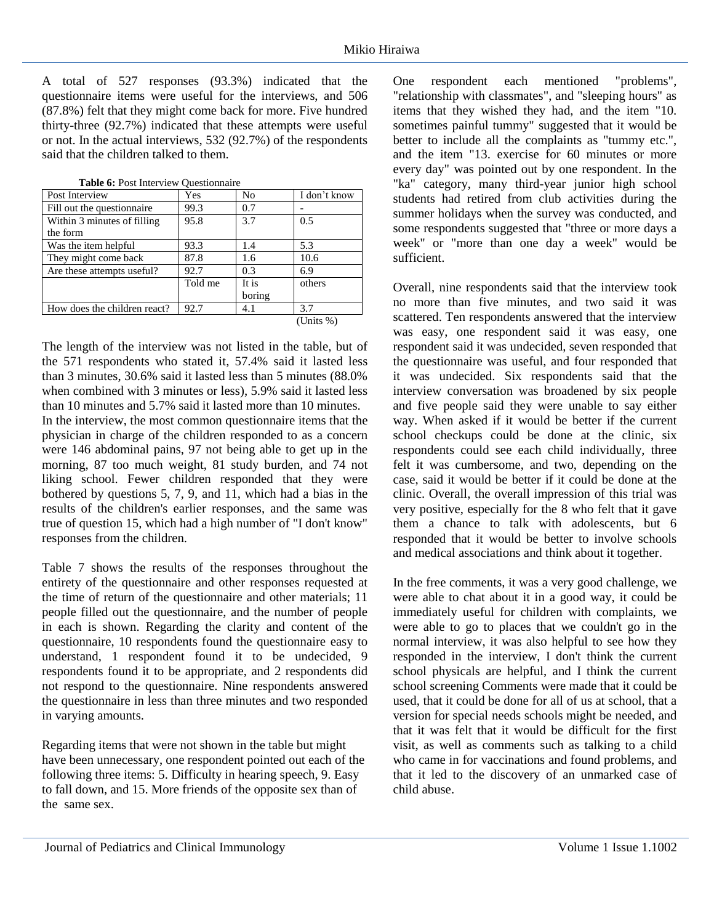A total of 527 responses (93.3%) indicated that the questionnaire items were useful for the interviews, and 506 (87.8%) felt that they might come back for more. Five hundred thirty-three (92.7%) indicated that these attempts were useful or not. In the actual interviews, 532 (92.7%) of the respondents said that the children talked to them.

| Post Interview               | Yes     | No     | I don't know |
|------------------------------|---------|--------|--------------|
| Fill out the questionnaire   | 99.3    | 0.7    |              |
| Within 3 minutes of filling  | 95.8    | 3.7    | 0.5          |
| the form                     |         |        |              |
| Was the item helpful         | 93.3    | 1.4    | 5.3          |
| They might come back         | 87.8    | 1.6    | 10.6         |
| Are these attempts useful?   | 92.7    | 0.3    | 6.9          |
|                              | Told me | It is  | others       |
|                              |         | boring |              |
| How does the children react? | 92.7    | 4.1    | 3.7          |
|                              |         |        | (Units %)    |

**Table 6:** Post Interview Questionnaire

The length of the interview was not listed in the table, but of the 571 respondents who stated it, 57.4% said it lasted less than 3 minutes, 30.6% said it lasted less than 5 minutes (88.0% when combined with 3 minutes or less), 5.9% said it lasted less than 10 minutes and 5.7% said it lasted more than 10 minutes. In the interview, the most common questionnaire items that the physician in charge of the children responded to as a concern were 146 abdominal pains, 97 not being able to get up in the morning, 87 too much weight, 81 study burden, and 74 not liking school. Fewer children responded that they were bothered by questions 5, 7, 9, and 11, which had a bias in the results of the children's earlier responses, and the same was true of question 15, which had a high number of "I don't know" responses from the children.

Table 7 shows the results of the responses throughout the entirety of the questionnaire and other responses requested at the time of return of the questionnaire and other materials; 11 people filled out the questionnaire, and the number of people in each is shown. Regarding the clarity and content of the questionnaire, 10 respondents found the questionnaire easy to understand, 1 respondent found it to be undecided, 9 respondents found it to be appropriate, and 2 respondents did not respond to the questionnaire. Nine respondents answered the questionnaire in less than three minutes and two responded in varying amounts.

Regarding items that were not shown in the table but might have been unnecessary, one respondent pointed out each of the following three items: 5. Difficulty in hearing speech, 9. Easy to fall down, and 15. More friends of the opposite sex than of the same sex.

One respondent each mentioned "problems", "relationship with classmates", and "sleeping hours" as items that they wished they had, and the item "10. sometimes painful tummy" suggested that it would be better to include all the complaints as "tummy etc.", and the item "13. exercise for 60 minutes or more every day" was pointed out by one respondent. In the "ka" category, many third-year junior high school students had retired from club activities during the summer holidays when the survey was conducted, and some respondents suggested that "three or more days a week" or "more than one day a week" would be sufficient.

Overall, nine respondents said that the interview took no more than five minutes, and two said it was scattered. Ten respondents answered that the interview was easy, one respondent said it was easy, one respondent said it was undecided, seven responded that the questionnaire was useful, and four responded that it was undecided. Six respondents said that the interview conversation was broadened by six people and five people said they were unable to say either way. When asked if it would be better if the current school checkups could be done at the clinic, six respondents could see each child individually, three felt it was cumbersome, and two, depending on the case, said it would be better if it could be done at the clinic. Overall, the overall impression of this trial was very positive, especially for the 8 who felt that it gave them a chance to talk with adolescents, but 6 responded that it would be better to involve schools and medical associations and think about it together.

In the free comments, it was a very good challenge, we were able to chat about it in a good way, it could be immediately useful for children with complaints, we were able to go to places that we couldn't go in the normal interview, it was also helpful to see how they responded in the interview, I don't think the current school physicals are helpful, and I think the current school screening Comments were made that it could be used, that it could be done for all of us at school, that a version for special needs schools might be needed, and that it was felt that it would be difficult for the first visit, as well as comments such as talking to a child who came in for vaccinations and found problems, and that it led to the discovery of an unmarked case of child abuse.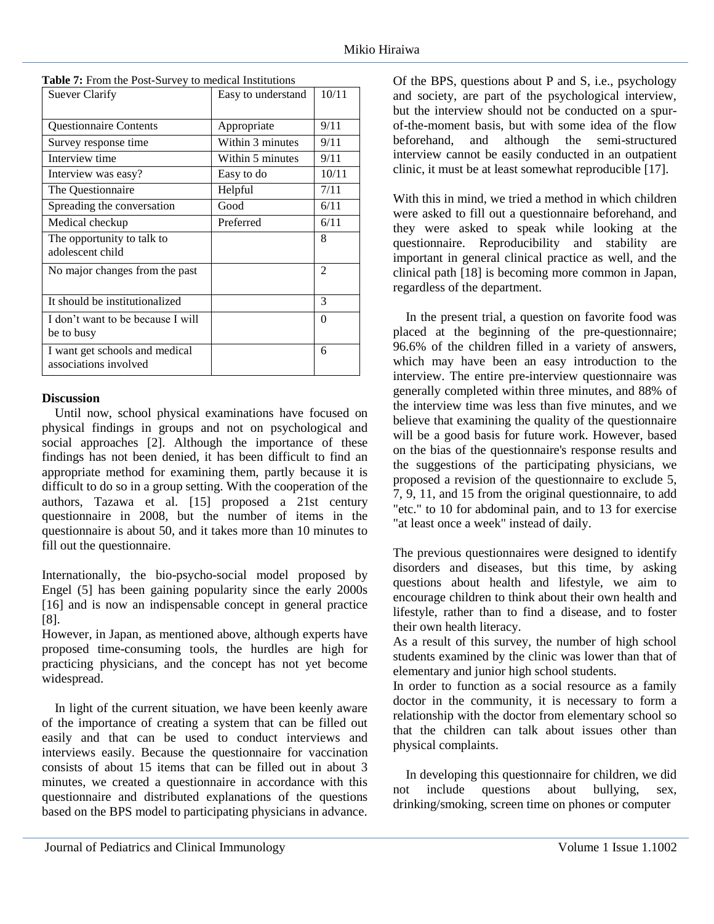| Table 7: From the Post-Survey to medical Institutions |  |
|-------------------------------------------------------|--|
|-------------------------------------------------------|--|

| <b>Suever Clarify</b>             | Easy to understand | 10/11    |
|-----------------------------------|--------------------|----------|
|                                   |                    |          |
| <b>Questionnaire Contents</b>     | Appropriate        | 9/11     |
| Survey response time              | Within 3 minutes   | 9/11     |
| Interview time                    | Within 5 minutes   | 9/11     |
| Interview was easy?               | Easy to do         | 10/11    |
| The Questionnaire                 | Helpful            | 7/11     |
| Spreading the conversation        | Good               | 6/11     |
| Medical checkup                   | Preferred          | 6/11     |
| The opportunity to talk to        |                    | 8        |
| adolescent child                  |                    |          |
| No major changes from the past    |                    | 2        |
|                                   |                    |          |
| It should be institutionalized    |                    | 3        |
| I don't want to be because I will |                    | $\theta$ |
| be to busy                        |                    |          |
| I want get schools and medical    |                    | 6        |
| associations involved             |                    |          |

## **Discussion**

Until now, school physical examinations have focused on physical findings in groups and not on psychological and social approaches [2]. Although the importance of these findings has not been denied, it has been difficult to find an appropriate method for examining them, partly because it is difficult to do so in a group setting. With the cooperation of the authors, Tazawa et al. [15] proposed a 21st century questionnaire in 2008, but the number of items in the questionnaire is about 50, and it takes more than 10 minutes to fill out the questionnaire.

Internationally, the bio-psycho-social model proposed by Engel (5] has been gaining popularity since the early 2000s [16] and is now an indispensable concept in general practice [8].

However, in Japan, as mentioned above, although experts have proposed time-consuming tools, the hurdles are high for practicing physicians, and the concept has not yet become widespread.

In light of the current situation, we have been keenly aware of the importance of creating a system that can be filled out easily and that can be used to conduct interviews and interviews easily. Because the questionnaire for vaccination consists of about 15 items that can be filled out in about 3 minutes, we created a questionnaire in accordance with this questionnaire and distributed explanations of the questions based on the BPS model to participating physicians in advance. Of the BPS, questions about P and S, i.e., psychology and society, are part of the psychological interview, but the interview should not be conducted on a spurof-the-moment basis, but with some idea of the flow beforehand, and although the semi-structured interview cannot be easily conducted in an outpatient clinic, it must be at least somewhat reproducible [17].

With this in mind, we tried a method in which children were asked to fill out a questionnaire beforehand, and they were asked to speak while looking at the questionnaire. Reproducibility and stability are important in general clinical practice as well, and the clinical path [18] is becoming more common in Japan, regardless of the department.

In the present trial, a question on favorite food was placed at the beginning of the pre-questionnaire; 96.6% of the children filled in a variety of answers, which may have been an easy introduction to the interview. The entire pre-interview questionnaire was generally completed within three minutes, and 88% of the interview time was less than five minutes, and we believe that examining the quality of the questionnaire will be a good basis for future work. However, based on the bias of the questionnaire's response results and the suggestions of the participating physicians, we proposed a revision of the questionnaire to exclude 5, 7, 9, 11, and 15 from the original questionnaire, to add "etc." to 10 for abdominal pain, and to 13 for exercise "at least once a week" instead of daily.

The previous questionnaires were designed to identify disorders and diseases, but this time, by asking questions about health and lifestyle, we aim to encourage children to think about their own health and lifestyle, rather than to find a disease, and to foster their own health literacy.

As a result of this survey, the number of high school students examined by the clinic was lower than that of elementary and junior high school students.

In order to function as a social resource as a family doctor in the community, it is necessary to form a relationship with the doctor from elementary school so that the children can talk about issues other than physical complaints.

In developing this questionnaire for children, we did not include questions about bullying, sex, drinking/smoking, screen time on phones or computer